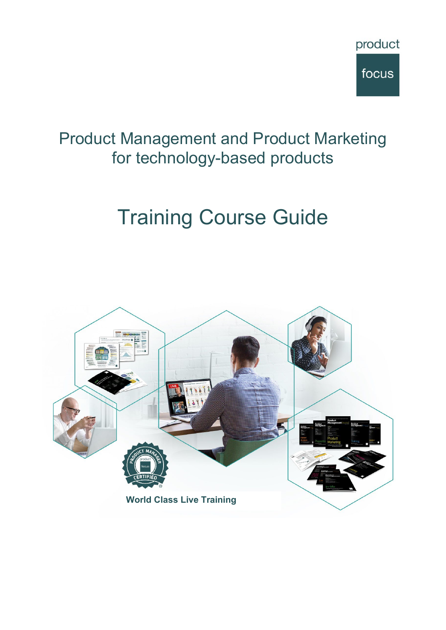

## Product Management and Product Marketing for technology-based products

# Training Course Guide

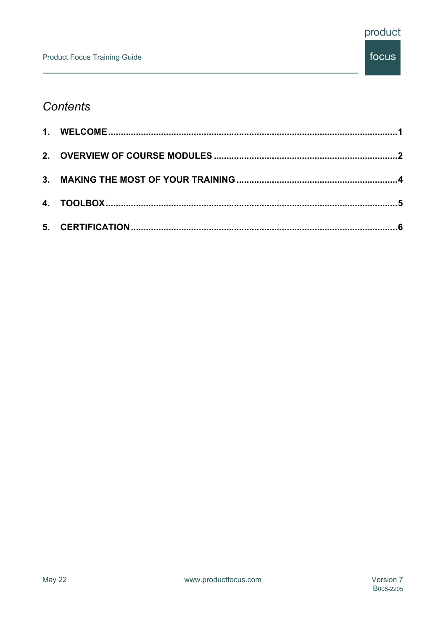## **Contents**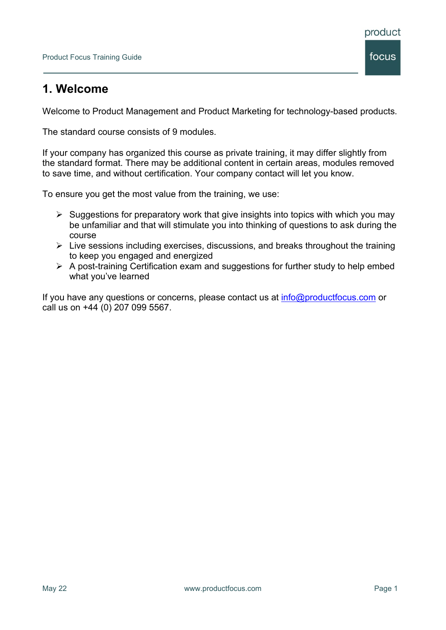## <span id="page-2-0"></span>**1. Welcome**

Welcome to Product Management and Product Marketing for technology-based products.

The standard course consists of 9 modules.

If your company has organized this course as private training, it may differ slightly from the standard format. There may be additional content in certain areas, modules removed to save time, and without certification. Your company contact will let you know.

To ensure you get the most value from the training, we use:

- $\triangleright$  Suggestions for preparatory work that give insights into topics with which you may be unfamiliar and that will stimulate you into thinking of questions to ask during the course
- $\triangleright$  Live sessions including exercises, discussions, and breaks throughout the training to keep you engaged and energized
- $\triangleright$  A post-training Certification exam and suggestions for further study to help embed what you've learned

If you have any questions or concerns, please contact us at  $info@productfocus.com$  or call us on +44 (0) 207 099 5567.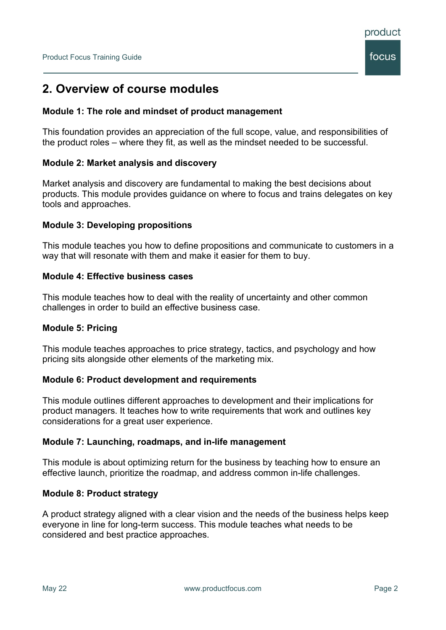

### <span id="page-3-0"></span>**2. Overview of course modules**

#### **Module 1: The role and mindset of product management**

This foundation provides an appreciation of the full scope, value, and responsibilities of the product roles – where they fit, as well as the mindset needed to be successful.

#### **Module 2: Market analysis and discovery**

Market analysis and discovery are fundamental to making the best decisions about products. This module provides guidance on where to focus and trains delegates on key tools and approaches.

#### **Module 3: Developing propositions**

This module teaches you how to define propositions and communicate to customers in a way that will resonate with them and make it easier for them to buy.

#### **Module 4: Effective business cases**

This module teaches how to deal with the reality of uncertainty and other common challenges in order to build an effective business case.

#### **Module 5: Pricing**

This module teaches approaches to price strategy, tactics, and psychology and how pricing sits alongside other elements of the marketing mix.

#### **Module 6: Product development and requirements**

This module outlines different approaches to development and their implications for product managers. It teaches how to write requirements that work and outlines key considerations for a great user experience.

#### **Module 7: Launching, roadmaps, and in-life management**

This module is about optimizing return for the business by teaching how to ensure an effective launch, prioritize the roadmap, and address common in-life challenges.

#### **Module 8: Product strategy**

A product strategy aligned with a clear vision and the needs of the business helps keep everyone in line for long-term success. This module teaches what needs to be considered and best practice approaches.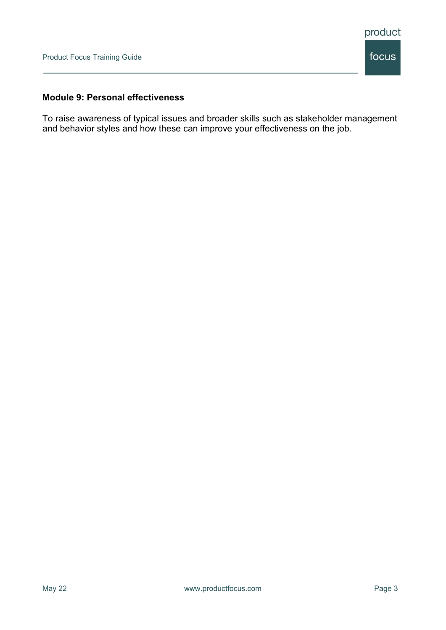#### **Module 9: Personal effectiveness**

To raise awareness of typical issues and broader skills such as stakeholder management and behavior styles and how these can improve your effectiveness on the job.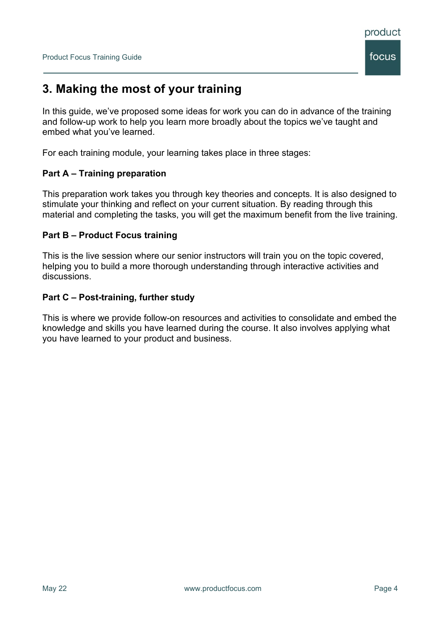

## <span id="page-5-0"></span>**3. Making the most of your training**

In this guide, we've proposed some ideas for work you can do in advance of the training and follow-up work to help you learn more broadly about the topics we've taught and embed what you've learned.

For each training module, your learning takes place in three stages:

#### **Part A – Training preparation**

This preparation work takes you through key theories and concepts. It is also designed to stimulate your thinking and reflect on your current situation. By reading through this material and completing the tasks, you will get the maximum benefit from the live training.

#### **Part B – Product Focus training**

This is the live session where our senior instructors will train you on the topic covered, helping you to build a more thorough understanding through interactive activities and discussions.

#### **Part C – Post-training, further study**

This is where we provide follow-on resources and activities to consolidate and embed the knowledge and skills you have learned during the course. It also involves applying what you have learned to your product and business.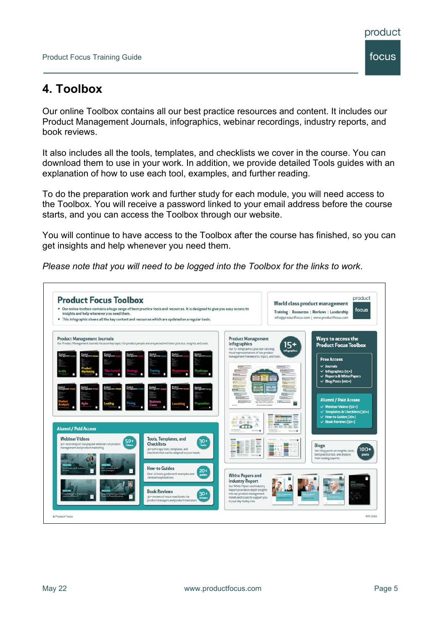## <span id="page-6-0"></span>**4. Toolbox**

Our online Toolbox contains all our best practice resources and content. It includes our Product Management Journals, infographics, webinar recordings, industry reports, and book reviews.

It also includes all the tools, templates, and checklists we cover in the course. You can download them to use in your work. In addition, we provide detailed Tools guides with an explanation of how to use each tool, examples, and further reading.

To do the preparation work and further study for each module, you will need access to the Toolbox. You will receive a password linked to your email address before the course starts, and you can access the Toolbox through our website.

You will continue to have access to the Toolbox after the course has finished, so you can get insights and help whenever you need them.

*Please note that you will need to be logged into the Toolbox for the links to work*.